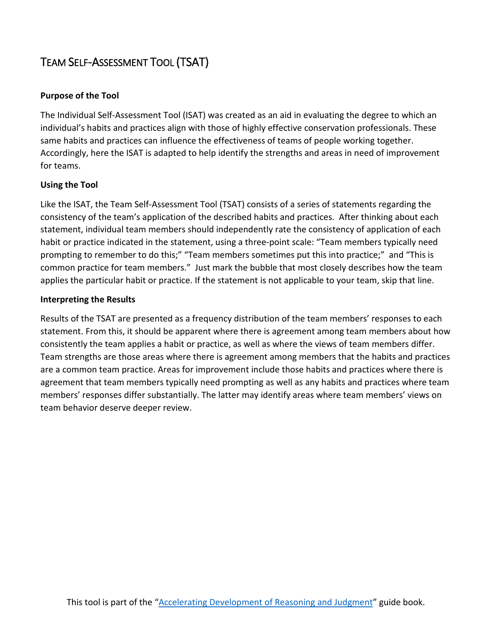## TEAM SELF-ASSESSMENT TOOL (TSAT)

## **Purpose of the Tool**

The Individual Self-Assessment Tool (ISAT) was created as an aid in evaluating the degree to which an individual's habits and practices align with those of highly effective conservation professionals. These same habits and practices can influence the effectiveness of teams of people working together. Accordingly, here the ISAT is adapted to help identify the strengths and areas in need of improvement for teams.

## **Using the Tool**

Like the ISAT, the Team Self-Assessment Tool (TSAT) consists of a series of statements regarding the consistency of the team's application of the described habits and practices. After thinking about each statement, individual team members should independently rate the consistency of application of each habit or practice indicated in the statement, using a three-point scale: "Team members typically need prompting to remember to do this;" "Team members sometimes put this into practice;" and "This is common practice for team members." Just mark the bubble that most closely describes how the team applies the particular habit or practice. If the statement is not applicable to your team, skip that line.

## **Interpreting the Results**

Results of the TSAT are presented as a frequency distribution of the team members' responses to each statement. From this, it should be apparent where there is agreement among team members about how consistently the team applies a habit or practice, as well as where the views of team members differ. Team strengths are those areas where there is agreement among members that the habits and practices are a common team practice. Areas for improvement include those habits and practices where there is agreement that team members typically need prompting as well as any habits and practices where team members' responses differ substantially. The latter may identify areas where team members' views on team behavior deserve deeper review.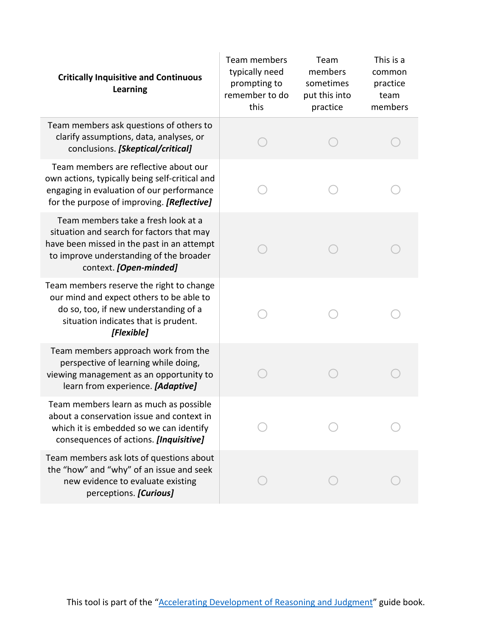| <b>Critically Inquisitive and Continuous</b><br><b>Learning</b>                                                                                                                                     | <b>Team members</b><br>typically need<br>prompting to<br>remember to do<br>this | Team<br>members<br>sometimes<br>put this into<br>practice | This is a<br>common<br>practice<br>team<br>members |
|-----------------------------------------------------------------------------------------------------------------------------------------------------------------------------------------------------|---------------------------------------------------------------------------------|-----------------------------------------------------------|----------------------------------------------------|
| Team members ask questions of others to<br>clarify assumptions, data, analyses, or<br>conclusions. [Skeptical/critical]                                                                             |                                                                                 |                                                           |                                                    |
| Team members are reflective about our<br>own actions, typically being self-critical and<br>engaging in evaluation of our performance<br>for the purpose of improving. [Reflective]                  |                                                                                 |                                                           |                                                    |
| Team members take a fresh look at a<br>situation and search for factors that may<br>have been missed in the past in an attempt<br>to improve understanding of the broader<br>context. [Open-minded] |                                                                                 |                                                           |                                                    |
| Team members reserve the right to change<br>our mind and expect others to be able to<br>do so, too, if new understanding of a<br>situation indicates that is prudent.<br>[Flexible]                 |                                                                                 |                                                           |                                                    |
| Team members approach work from the<br>perspective of learning while doing,<br>viewing management as an opportunity to<br>learn from experience. [Adaptive]                                         |                                                                                 |                                                           |                                                    |
| Team members learn as much as possible<br>about a conservation issue and context in<br>which it is embedded so we can identify<br>consequences of actions. [Inquisitive]                            |                                                                                 |                                                           |                                                    |
| Team members ask lots of questions about<br>the "how" and "why" of an issue and seek<br>new evidence to evaluate existing<br>perceptions. [Curious]                                                 |                                                                                 |                                                           |                                                    |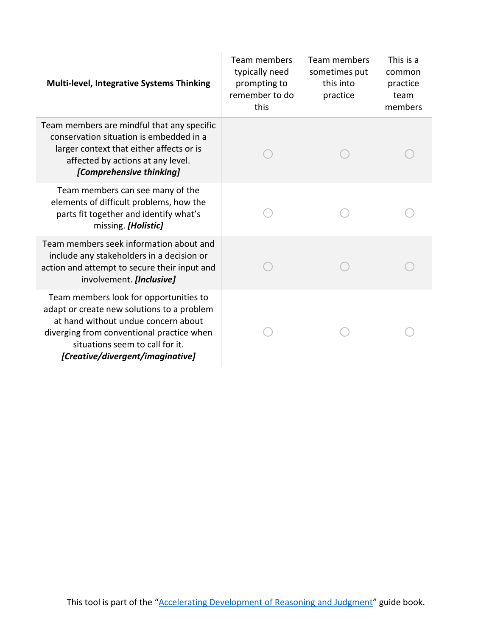| <b>Multi-level, Integrative Systems Thinking</b>                                                                                                                                                                                                | Team members<br>typically need<br>prompting to<br>remember to do<br>this | Team members<br>sometimes put<br>this into<br>practice | This is a<br>common<br>practice<br>team<br>members |
|-------------------------------------------------------------------------------------------------------------------------------------------------------------------------------------------------------------------------------------------------|--------------------------------------------------------------------------|--------------------------------------------------------|----------------------------------------------------|
| Team members are mindful that any specific<br>conservation situation is embedded in a<br>larger context that either affects or is<br>affected by actions at any level.<br>[Comprehensive thinking]                                              |                                                                          |                                                        |                                                    |
| Team members can see many of the<br>elements of difficult problems, how the<br>parts fit together and identify what's<br>missing. [Holistic]                                                                                                    |                                                                          |                                                        |                                                    |
| Team members seek information about and<br>include any stakeholders in a decision or<br>action and attempt to secure their input and<br>involvement. [Inclusive]                                                                                |                                                                          |                                                        |                                                    |
| Team members look for opportunities to<br>adapt or create new solutions to a problem<br>at hand without undue concern about<br>diverging from conventional practice when<br>situations seem to call for it.<br>[Creative/divergent/imaginative] |                                                                          |                                                        |                                                    |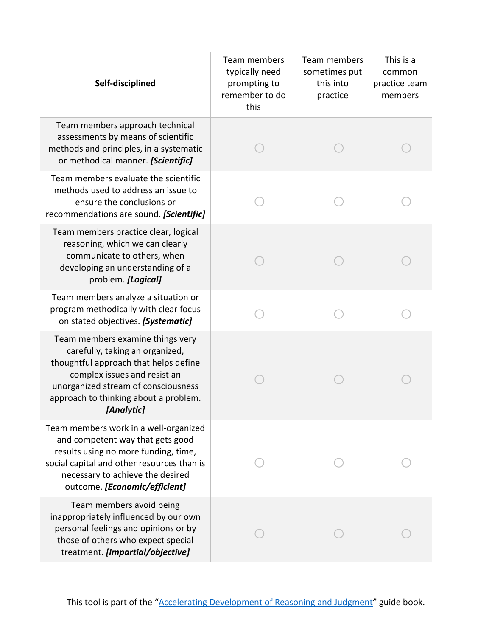| Self-disciplined                                                                                                                                                                                                                           | Team members<br>typically need<br>prompting to<br>remember to do<br>this | Team members<br>sometimes put<br>this into<br>practice | This is a<br>common<br>practice team<br>members |
|--------------------------------------------------------------------------------------------------------------------------------------------------------------------------------------------------------------------------------------------|--------------------------------------------------------------------------|--------------------------------------------------------|-------------------------------------------------|
| Team members approach technical<br>assessments by means of scientific<br>methods and principles, in a systematic<br>or methodical manner. [Scientific]                                                                                     |                                                                          |                                                        |                                                 |
| Team members evaluate the scientific<br>methods used to address an issue to<br>ensure the conclusions or<br>recommendations are sound. [Scientific]                                                                                        |                                                                          |                                                        |                                                 |
| Team members practice clear, logical<br>reasoning, which we can clearly<br>communicate to others, when<br>developing an understanding of a<br>problem. [Logical]                                                                           |                                                                          |                                                        |                                                 |
| Team members analyze a situation or<br>program methodically with clear focus<br>on stated objectives. [Systematic]                                                                                                                         |                                                                          |                                                        |                                                 |
| Team members examine things very<br>carefully, taking an organized,<br>thoughtful approach that helps define<br>complex issues and resist an<br>unorganized stream of consciousness<br>approach to thinking about a problem.<br>[Analytic] |                                                                          |                                                        |                                                 |
| Team members work in a well-organized<br>and competent way that gets good<br>results using no more funding, time,<br>social capital and other resources than is<br>necessary to achieve the desired<br>outcome. [Economic/efficient]       |                                                                          |                                                        |                                                 |
| Team members avoid being<br>inappropriately influenced by our own<br>personal feelings and opinions or by<br>those of others who expect special<br>treatment. [Impartial/objective]                                                        |                                                                          |                                                        |                                                 |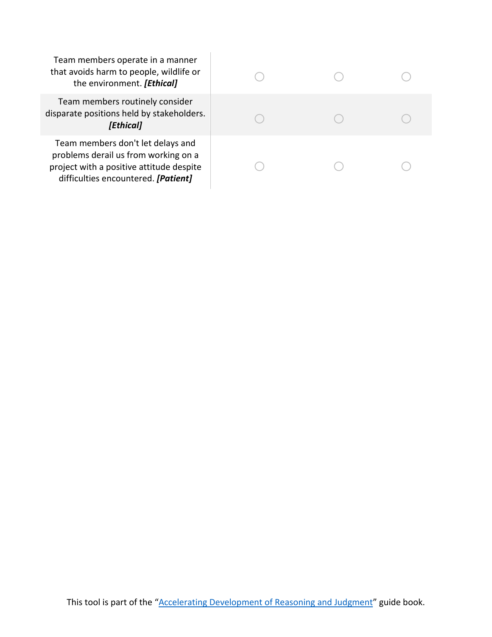Team members operate in a manner that avoids harm to people, wildlife or the environment. *[Ethical]* 

| Team members operate in a manner<br>that avoids harm to people, wildlife or<br>the environment. [Ethical]                                                    |  |  |
|--------------------------------------------------------------------------------------------------------------------------------------------------------------|--|--|
| Team members routinely consider<br>disparate positions held by stakeholders.<br>[Ethical]                                                                    |  |  |
| Team members don't let delays and<br>problems derail us from working on a<br>project with a positive attitude despite<br>difficulties encountered. [Patient] |  |  |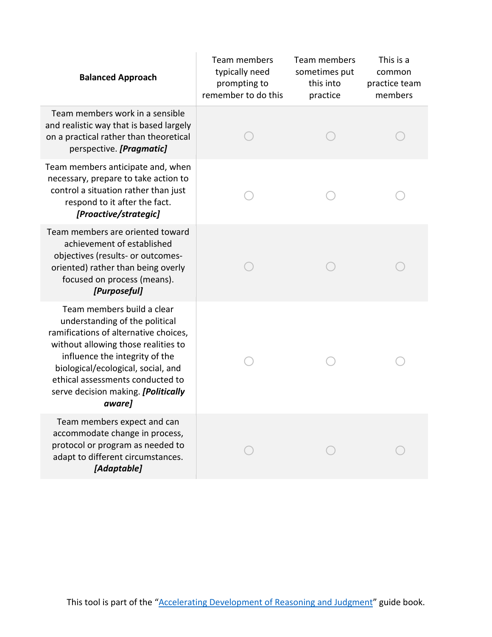| <b>Balanced Approach</b>                                                                                                                                                                                                                                                                                  | Team members<br>typically need<br>prompting to<br>remember to do this | Team members<br>sometimes put<br>this into<br>practice | This is a<br>common<br>practice team<br>members |
|-----------------------------------------------------------------------------------------------------------------------------------------------------------------------------------------------------------------------------------------------------------------------------------------------------------|-----------------------------------------------------------------------|--------------------------------------------------------|-------------------------------------------------|
| Team members work in a sensible<br>and realistic way that is based largely<br>on a practical rather than theoretical<br>perspective. [Pragmatic]                                                                                                                                                          |                                                                       |                                                        |                                                 |
| Team members anticipate and, when<br>necessary, prepare to take action to<br>control a situation rather than just<br>respond to it after the fact.<br>[Proactive/strategic]                                                                                                                               |                                                                       |                                                        |                                                 |
| Team members are oriented toward<br>achievement of established<br>objectives (results- or outcomes-<br>oriented) rather than being overly<br>focused on process (means).<br>[Purposeful]                                                                                                                  |                                                                       |                                                        |                                                 |
| Team members build a clear<br>understanding of the political<br>ramifications of alternative choices,<br>without allowing those realities to<br>influence the integrity of the<br>biological/ecological, social, and<br>ethical assessments conducted to<br>serve decision making. [Politically<br>aware] |                                                                       |                                                        |                                                 |
| Team members expect and can<br>accommodate change in process,<br>protocol or program as needed to<br>adapt to different circumstances.<br>[Adaptable]                                                                                                                                                     |                                                                       |                                                        |                                                 |